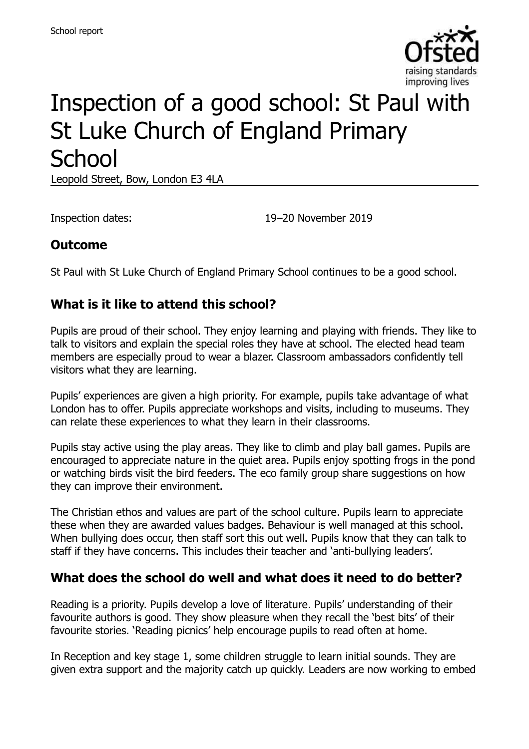

# Inspection of a good school: St Paul with St Luke Church of England Primary **School**

Leopold Street, Bow, London E3 4LA

Inspection dates: 19–20 November 2019

#### **Outcome**

St Paul with St Luke Church of England Primary School continues to be a good school.

#### **What is it like to attend this school?**

Pupils are proud of their school. They enjoy learning and playing with friends. They like to talk to visitors and explain the special roles they have at school. The elected head team members are especially proud to wear a blazer. Classroom ambassadors confidently tell visitors what they are learning.

Pupils' experiences are given a high priority. For example, pupils take advantage of what London has to offer. Pupils appreciate workshops and visits, including to museums. They can relate these experiences to what they learn in their classrooms.

Pupils stay active using the play areas. They like to climb and play ball games. Pupils are encouraged to appreciate nature in the quiet area. Pupils enjoy spotting frogs in the pond or watching birds visit the bird feeders. The eco family group share suggestions on how they can improve their environment.

The Christian ethos and values are part of the school culture. Pupils learn to appreciate these when they are awarded values badges. Behaviour is well managed at this school. When bullying does occur, then staff sort this out well. Pupils know that they can talk to staff if they have concerns. This includes their teacher and 'anti-bullying leaders'.

#### **What does the school do well and what does it need to do better?**

Reading is a priority. Pupils develop a love of literature. Pupils' understanding of their favourite authors is good. They show pleasure when they recall the 'best bits' of their favourite stories. 'Reading picnics' help encourage pupils to read often at home.

In Reception and key stage 1, some children struggle to learn initial sounds. They are given extra support and the majority catch up quickly. Leaders are now working to embed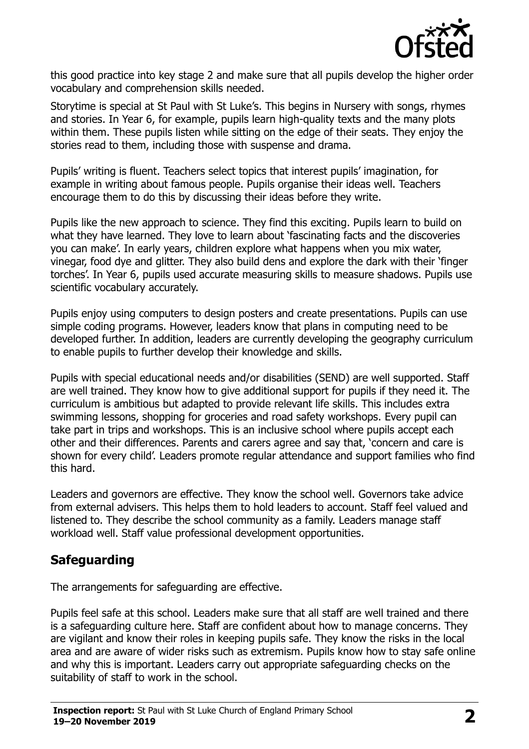

this good practice into key stage 2 and make sure that all pupils develop the higher order vocabulary and comprehension skills needed.

Storytime is special at St Paul with St Luke's. This begins in Nursery with songs, rhymes and stories. In Year 6, for example, pupils learn high-quality texts and the many plots within them. These pupils listen while sitting on the edge of their seats. They enjoy the stories read to them, including those with suspense and drama.

Pupils' writing is fluent. Teachers select topics that interest pupils' imagination, for example in writing about famous people. Pupils organise their ideas well. Teachers encourage them to do this by discussing their ideas before they write.

Pupils like the new approach to science. They find this exciting. Pupils learn to build on what they have learned. They love to learn about 'fascinating facts and the discoveries you can make'. In early years, children explore what happens when you mix water, vinegar, food dye and glitter. They also build dens and explore the dark with their 'finger torches'. In Year 6, pupils used accurate measuring skills to measure shadows. Pupils use scientific vocabulary accurately.

Pupils enjoy using computers to design posters and create presentations. Pupils can use simple coding programs. However, leaders know that plans in computing need to be developed further. In addition, leaders are currently developing the geography curriculum to enable pupils to further develop their knowledge and skills.

Pupils with special educational needs and/or disabilities (SEND) are well supported. Staff are well trained. They know how to give additional support for pupils if they need it. The curriculum is ambitious but adapted to provide relevant life skills. This includes extra swimming lessons, shopping for groceries and road safety workshops. Every pupil can take part in trips and workshops. This is an inclusive school where pupils accept each other and their differences. Parents and carers agree and say that, 'concern and care is shown for every child'. Leaders promote regular attendance and support families who find this hard.

Leaders and governors are effective. They know the school well. Governors take advice from external advisers. This helps them to hold leaders to account. Staff feel valued and listened to. They describe the school community as a family. Leaders manage staff workload well. Staff value professional development opportunities.

## **Safeguarding**

The arrangements for safeguarding are effective.

Pupils feel safe at this school. Leaders make sure that all staff are well trained and there is a safeguarding culture here. Staff are confident about how to manage concerns. They are vigilant and know their roles in keeping pupils safe. They know the risks in the local area and are aware of wider risks such as extremism. Pupils know how to stay safe online and why this is important. Leaders carry out appropriate safeguarding checks on the suitability of staff to work in the school.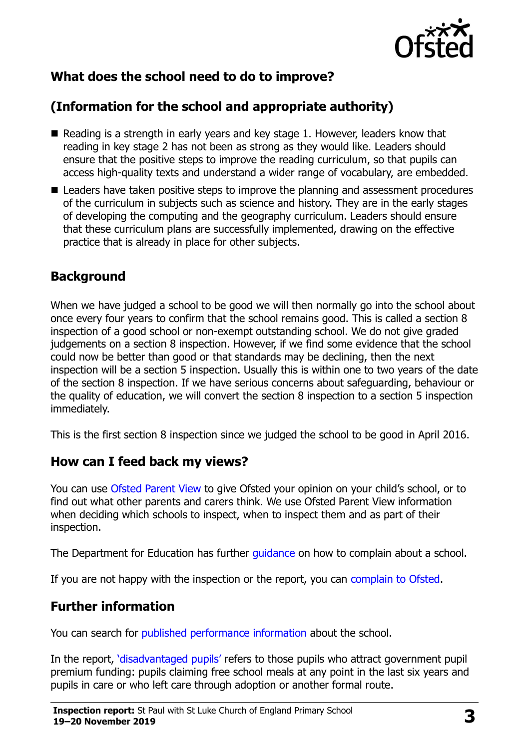

# **What does the school need to do to improve?**

# **(Information for the school and appropriate authority)**

- $\blacksquare$  Reading is a strength in early years and key stage 1. However, leaders know that reading in key stage 2 has not been as strong as they would like. Leaders should ensure that the positive steps to improve the reading curriculum, so that pupils can access high-quality texts and understand a wider range of vocabulary, are embedded.
- Leaders have taken positive steps to improve the planning and assessment procedures of the curriculum in subjects such as science and history. They are in the early stages of developing the computing and the geography curriculum. Leaders should ensure that these curriculum plans are successfully implemented, drawing on the effective practice that is already in place for other subjects.

### **Background**

When we have judged a school to be good we will then normally go into the school about once every four years to confirm that the school remains good. This is called a section 8 inspection of a good school or non-exempt outstanding school. We do not give graded judgements on a section 8 inspection. However, if we find some evidence that the school could now be better than good or that standards may be declining, then the next inspection will be a section 5 inspection. Usually this is within one to two years of the date of the section 8 inspection. If we have serious concerns about safeguarding, behaviour or the quality of education, we will convert the section 8 inspection to a section 5 inspection immediately.

This is the first section 8 inspection since we judged the school to be good in April 2016.

#### **How can I feed back my views?**

You can use [Ofsted Parent View](https://parentview.ofsted.gov.uk/) to give Ofsted your opinion on your child's school, or to find out what other parents and carers think. We use Ofsted Parent View information when deciding which schools to inspect, when to inspect them and as part of their inspection.

The Department for Education has further quidance on how to complain about a school.

If you are not happy with the inspection or the report, you can [complain to Ofsted.](https://www.gov.uk/complain-ofsted-report)

#### **Further information**

You can search for [published performance information](http://www.compare-school-performance.service.gov.uk/) about the school.

In the report, '[disadvantaged pupils](http://www.gov.uk/guidance/pupil-premium-information-for-schools-and-alternative-provision-settings)' refers to those pupils who attract government pupil premium funding: pupils claiming free school meals at any point in the last six years and pupils in care or who left care through adoption or another formal route.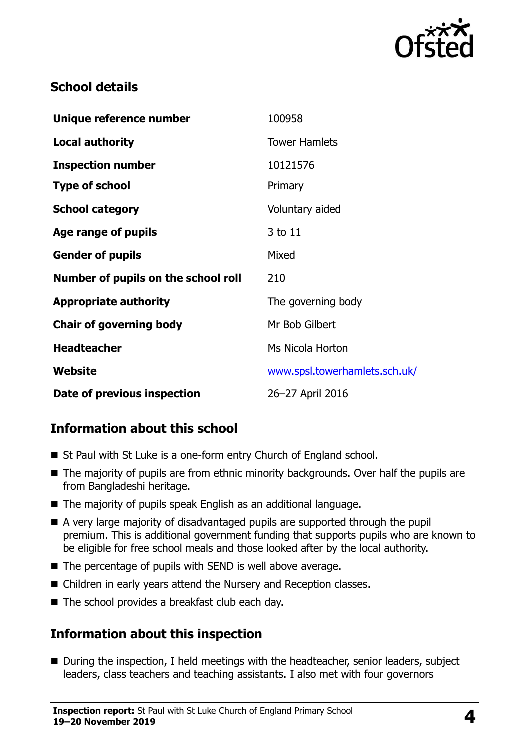

### **School details**

| Unique reference number             | 100958                        |
|-------------------------------------|-------------------------------|
| <b>Local authority</b>              | <b>Tower Hamlets</b>          |
| <b>Inspection number</b>            | 10121576                      |
| <b>Type of school</b>               | Primary                       |
| <b>School category</b>              | Voluntary aided               |
| Age range of pupils                 | 3 to 11                       |
| <b>Gender of pupils</b>             | Mixed                         |
| Number of pupils on the school roll | 210                           |
| <b>Appropriate authority</b>        | The governing body            |
| <b>Chair of governing body</b>      | Mr Bob Gilbert                |
| <b>Headteacher</b>                  | Ms Nicola Horton              |
| Website                             | www.spsl.towerhamlets.sch.uk/ |
| Date of previous inspection         | 26-27 April 2016              |

# **Information about this school**

- St Paul with St Luke is a one-form entry Church of England school.
- The majority of pupils are from ethnic minority backgrounds. Over half the pupils are from Bangladeshi heritage.
- The majority of pupils speak English as an additional language.
- A very large majority of disadvantaged pupils are supported through the pupil premium. This is additional government funding that supports pupils who are known to be eligible for free school meals and those looked after by the local authority.
- The percentage of pupils with SEND is well above average.
- Children in early years attend the Nursery and Reception classes.
- The school provides a breakfast club each day.

#### **Information about this inspection**

■ During the inspection, I held meetings with the headteacher, senior leaders, subject leaders, class teachers and teaching assistants. I also met with four governors

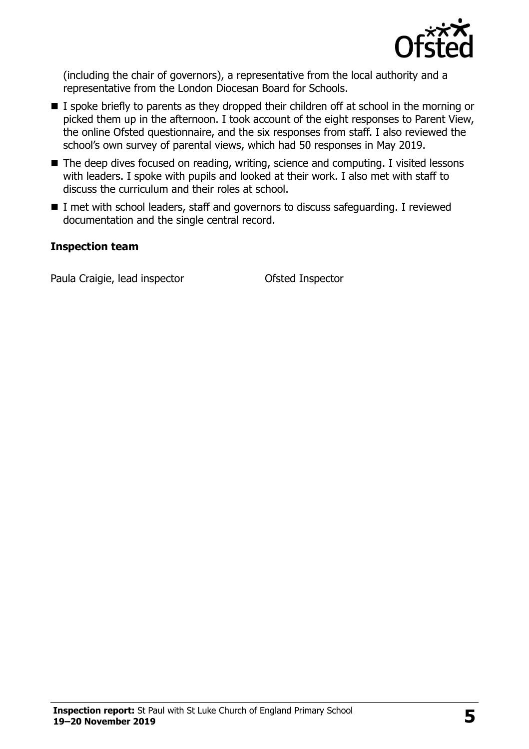

(including the chair of governors), a representative from the local authority and a representative from the London Diocesan Board for Schools.

- I spoke briefly to parents as they dropped their children off at school in the morning or picked them up in the afternoon. I took account of the eight responses to Parent View, the online Ofsted questionnaire, and the six responses from staff. I also reviewed the school's own survey of parental views, which had 50 responses in May 2019.
- The deep dives focused on reading, writing, science and computing. I visited lessons with leaders. I spoke with pupils and looked at their work. I also met with staff to discuss the curriculum and their roles at school.
- I met with school leaders, staff and governors to discuss safeguarding. I reviewed documentation and the single central record.

#### **Inspection team**

Paula Craigie, lead inspector **Ofsted Inspector**